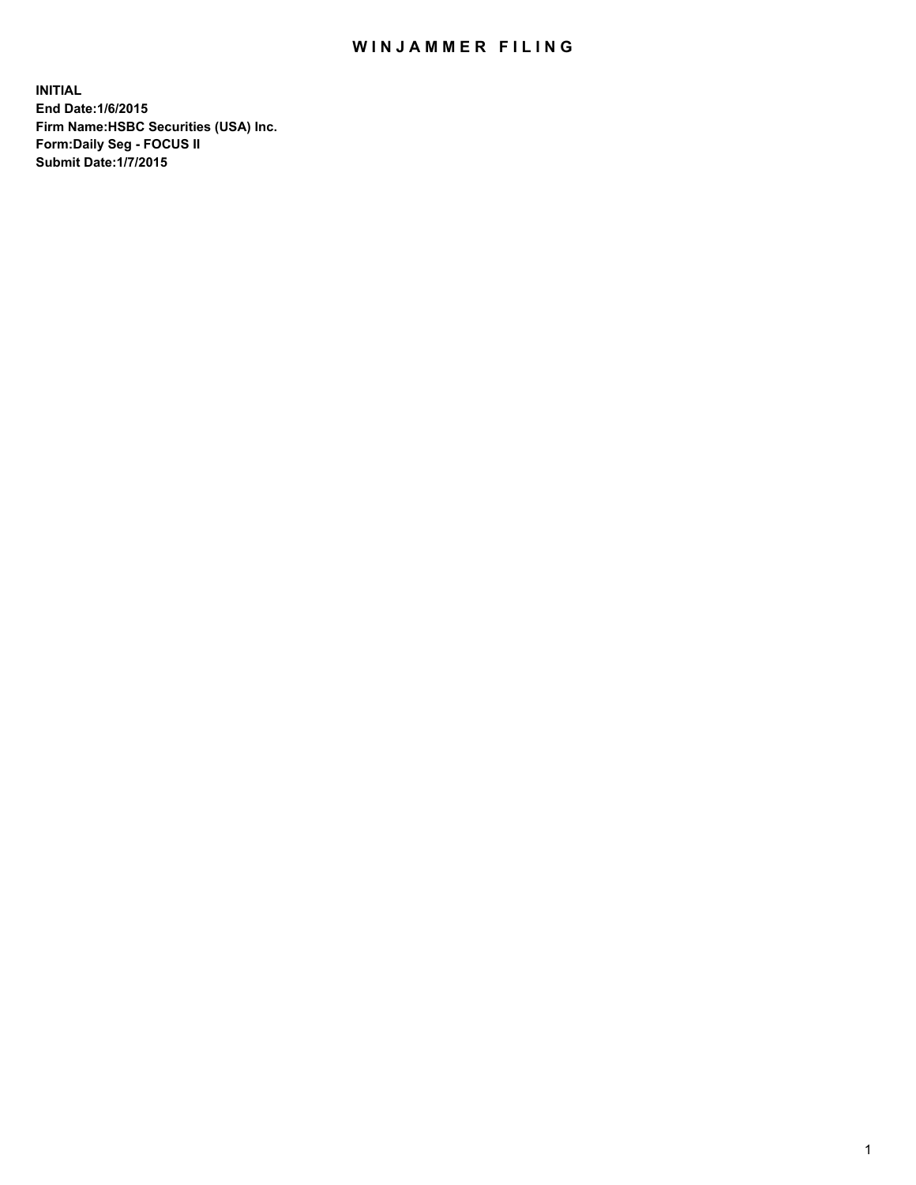## WIN JAMMER FILING

**INITIAL End Date:1/6/2015 Firm Name:HSBC Securities (USA) Inc. Form:Daily Seg - FOCUS II Submit Date:1/7/2015**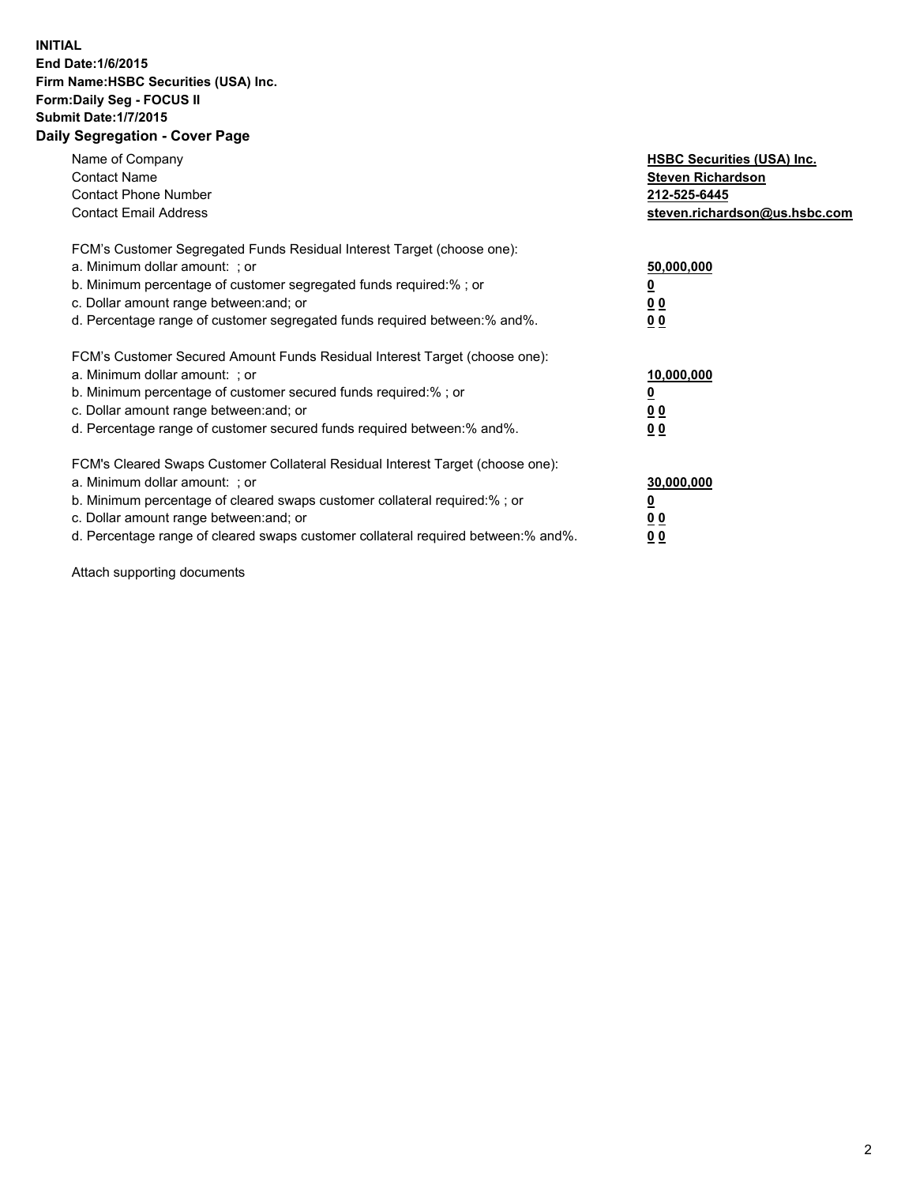## **INITIAL End Date:1/6/2015 Firm Name:HSBC Securities (USA) Inc. Form:Daily Seg - FOCUS II Submit Date:1/7/2015 Daily Segregation - Cover Page**

| Name of Company<br><b>Contact Name</b><br><b>Contact Phone Number</b><br><b>Contact Email Address</b>                                                                                                                                                                                                                         | <b>HSBC Securities (USA) Inc.</b><br><b>Steven Richardson</b><br>212-525-6445<br>steven.richardson@us.hsbc.com |
|-------------------------------------------------------------------------------------------------------------------------------------------------------------------------------------------------------------------------------------------------------------------------------------------------------------------------------|----------------------------------------------------------------------------------------------------------------|
| FCM's Customer Segregated Funds Residual Interest Target (choose one):<br>a. Minimum dollar amount: ; or<br>b. Minimum percentage of customer segregated funds required:% ; or<br>c. Dollar amount range between: and; or<br>d. Percentage range of customer segregated funds required between: % and %.                      | 50,000,000<br>00<br>0 <sub>0</sub>                                                                             |
| FCM's Customer Secured Amount Funds Residual Interest Target (choose one):<br>a. Minimum dollar amount: ; or<br>b. Minimum percentage of customer secured funds required:%; or<br>c. Dollar amount range between: and; or<br>d. Percentage range of customer secured funds required between:% and%.                           | 10,000,000<br>0 <sub>0</sub><br>0 <sub>0</sub>                                                                 |
| FCM's Cleared Swaps Customer Collateral Residual Interest Target (choose one):<br>a. Minimum dollar amount: ; or<br>b. Minimum percentage of cleared swaps customer collateral required:%; or<br>c. Dollar amount range between: and; or<br>d. Percentage range of cleared swaps customer collateral required between:% and%. | 30,000,000<br>0 <sub>0</sub><br>00                                                                             |

Attach supporting documents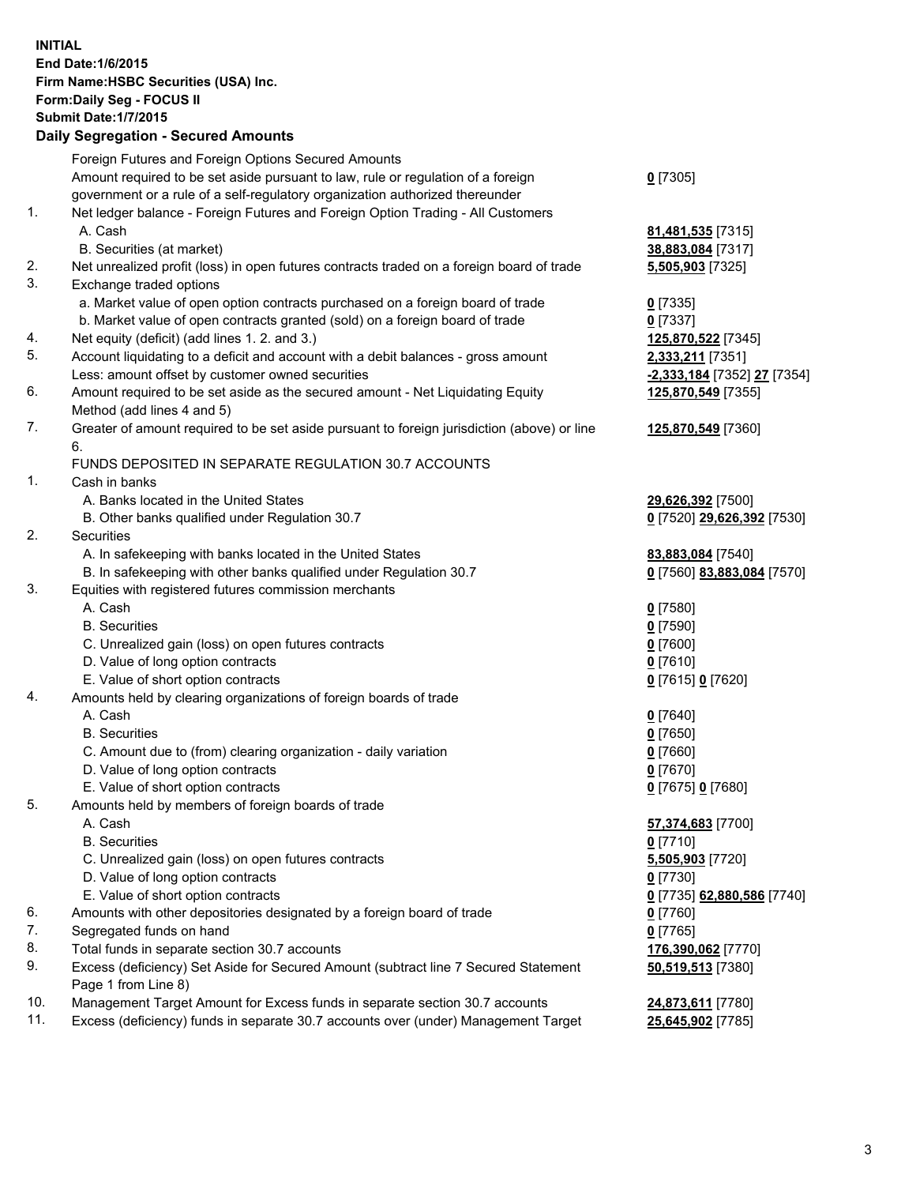**INITIAL End Date:1/6/2015 Firm Name:HSBC Securities (USA) Inc. Form:Daily Seg - FOCUS II Submit Date:1/7/2015 Daily Segregation - Secured Amounts** Foreign Futures and Foreign Options Secured Amounts Amount required to be set aside pursuant to law, rule or regulation of a foreign government or a rule of a self-regulatory organization authorized thereunder **0** [7305] 1. Net ledger balance - Foreign Futures and Foreign Option Trading - All Customers A. Cash **81,481,535** [7315] B. Securities (at market) **38,883,084** [7317] 2. Net unrealized profit (loss) in open futures contracts traded on a foreign board of trade **5,505,903** [7325] 3. Exchange traded options a. Market value of open option contracts purchased on a foreign board of trade **0** [7335] b. Market value of open contracts granted (sold) on a foreign board of trade **0** [7337] 4. Net equity (deficit) (add lines 1. 2. and 3.) **125,870,522** [7345] 5. Account liquidating to a deficit and account with a debit balances - gross amount **2,333,211** [7351] Less: amount offset by customer owned securities **-2,333,184** [7352] **27** [7354] 6. Amount required to be set aside as the secured amount - Net Liquidating Equity Method (add lines 4 and 5) **125,870,549** [7355] 7. Greater of amount required to be set aside pursuant to foreign jurisdiction (above) or line 6. **125,870,549** [7360] FUNDS DEPOSITED IN SEPARATE REGULATION 30.7 ACCOUNTS 1. Cash in banks A. Banks located in the United States **29,626,392** [7500] B. Other banks qualified under Regulation 30.7 **0** [7520] **29,626,392** [7530] 2. Securities A. In safekeeping with banks located in the United States **83,883,084** [7540] B. In safekeeping with other banks qualified under Regulation 30.7 **0** [7560] **83,883,084** [7570] 3. Equities with registered futures commission merchants A. Cash **0** [7580] B. Securities **0** [7590] C. Unrealized gain (loss) on open futures contracts **0** [7600] D. Value of long option contracts **0** [7610] E. Value of short option contracts **0** [7615] **0** [7620] 4. Amounts held by clearing organizations of foreign boards of trade A. Cash **0** [7640] B. Securities **0** [7650] C. Amount due to (from) clearing organization - daily variation **0** [7660] D. Value of long option contracts **0** [7670] E. Value of short option contracts **0** [7675] **0** [7680] 5. Amounts held by members of foreign boards of trade A. Cash **57,374,683** [7700] B. Securities **0** [7710] C. Unrealized gain (loss) on open futures contracts **5,505,903** [7720] D. Value of long option contracts **0** [7730] E. Value of short option contracts **0** [7735] **62,880,586** [7740] 6. Amounts with other depositories designated by a foreign board of trade **0** [7760] 7. Segregated funds on hand **0** [7765] 8. Total funds in separate section 30.7 accounts **176,390,062** [7770] 9. Excess (deficiency) Set Aside for Secured Amount (subtract line 7 Secured Statement Page 1 from Line 8) **50,519,513** [7380] 10. Management Target Amount for Excess funds in separate section 30.7 accounts **24,873,611** [7780]

11. Excess (deficiency) funds in separate 30.7 accounts over (under) Management Target **25,645,902** [7785]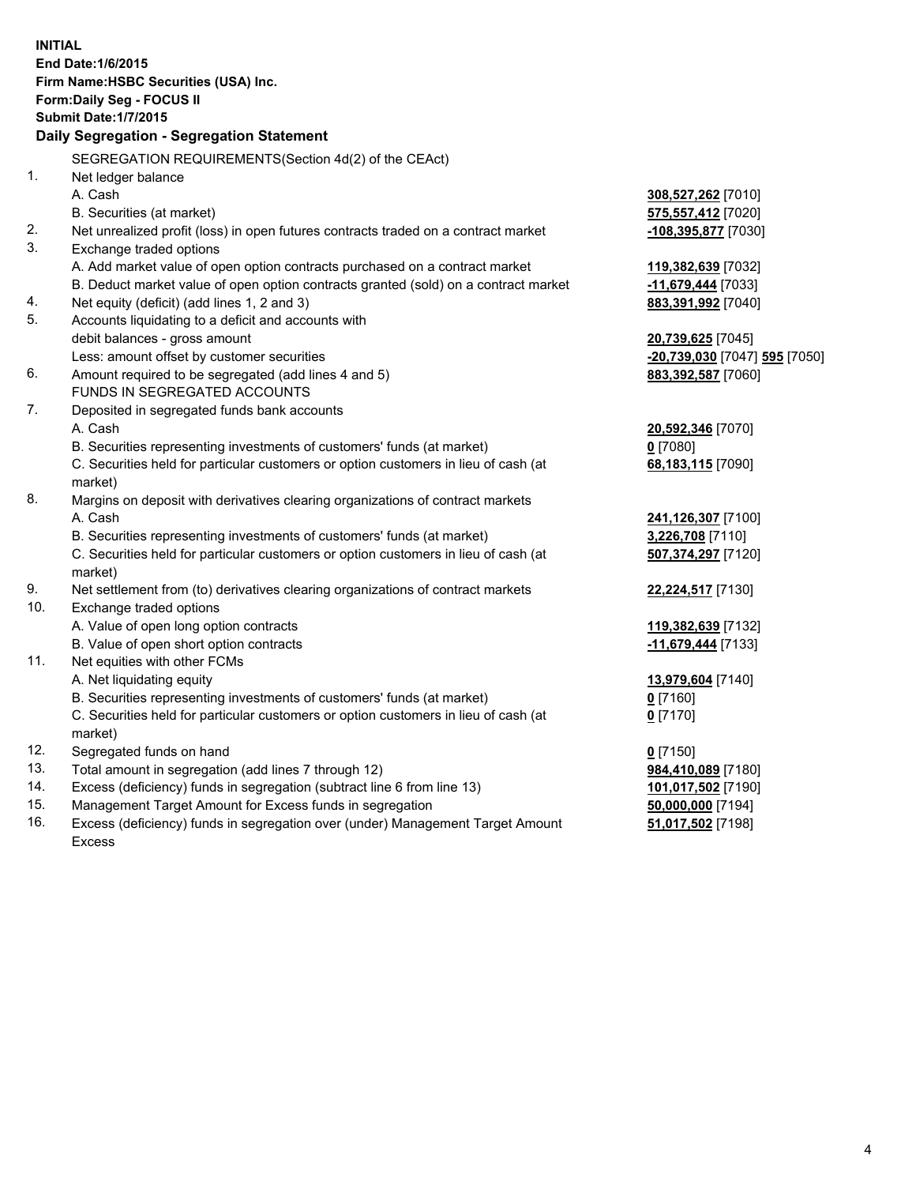| <b>INITIAL</b> | End Date: 1/6/2015<br>Firm Name: HSBC Securities (USA) Inc.<br>Form: Daily Seg - FOCUS II<br><b>Submit Date: 1/7/2015</b><br>Daily Segregation - Segregation Statement |                                 |
|----------------|------------------------------------------------------------------------------------------------------------------------------------------------------------------------|---------------------------------|
|                |                                                                                                                                                                        |                                 |
|                | SEGREGATION REQUIREMENTS(Section 4d(2) of the CEAct)                                                                                                                   |                                 |
| 1.             | Net ledger balance                                                                                                                                                     |                                 |
|                | A. Cash                                                                                                                                                                | 308,527,262 [7010]              |
|                | B. Securities (at market)                                                                                                                                              | 575,557,412 [7020]              |
| 2.<br>3.       | Net unrealized profit (loss) in open futures contracts traded on a contract market                                                                                     | -108,395,877 [7030]             |
|                | Exchange traded options                                                                                                                                                |                                 |
|                | A. Add market value of open option contracts purchased on a contract market                                                                                            | 119,382,639 [7032]              |
|                | B. Deduct market value of open option contracts granted (sold) on a contract market                                                                                    | -11,679,444 [7033]              |
| 4.<br>5.       | Net equity (deficit) (add lines 1, 2 and 3)                                                                                                                            | 883,391,992 [7040]              |
|                | Accounts liquidating to a deficit and accounts with                                                                                                                    |                                 |
|                | debit balances - gross amount                                                                                                                                          | 20,739,625 [7045]               |
| 6.             | Less: amount offset by customer securities                                                                                                                             | -20,739,030 [7047] 595 [7050]   |
|                | Amount required to be segregated (add lines 4 and 5)<br>FUNDS IN SEGREGATED ACCOUNTS                                                                                   | 883,392,587 [7060]              |
| 7.             | Deposited in segregated funds bank accounts                                                                                                                            |                                 |
|                | A. Cash                                                                                                                                                                |                                 |
|                | B. Securities representing investments of customers' funds (at market)                                                                                                 | 20,592,346 [7070]<br>$0$ [7080] |
|                | C. Securities held for particular customers or option customers in lieu of cash (at                                                                                    |                                 |
|                | market)                                                                                                                                                                | 68,183,115 [7090]               |
| 8.             | Margins on deposit with derivatives clearing organizations of contract markets                                                                                         |                                 |
|                | A. Cash                                                                                                                                                                | 241,126,307 [7100]              |
|                | B. Securities representing investments of customers' funds (at market)                                                                                                 | 3,226,708 [7110]                |
|                | C. Securities held for particular customers or option customers in lieu of cash (at                                                                                    | 507,374,297 [7120]              |
|                | market)                                                                                                                                                                |                                 |
| 9.             | Net settlement from (to) derivatives clearing organizations of contract markets                                                                                        | 22,224,517 [7130]               |
| 10.            | Exchange traded options                                                                                                                                                |                                 |
|                | A. Value of open long option contracts                                                                                                                                 | 119,382,639 [7132]              |
|                | B. Value of open short option contracts                                                                                                                                | -11,679,444 [7133]              |
| 11.            | Net equities with other FCMs                                                                                                                                           |                                 |
|                | A. Net liquidating equity                                                                                                                                              | 13,979,604 [7140]               |
|                | B. Securities representing investments of customers' funds (at market)                                                                                                 | 0 [7160]                        |
|                | C. Securities held for particular customers or option customers in lieu of cash (at                                                                                    | $0$ [7170]                      |
|                | market)                                                                                                                                                                |                                 |
| 12.            | Segregated funds on hand                                                                                                                                               | $0$ [7150]                      |
| 13.            | Total amount in segregation (add lines 7 through 12)                                                                                                                   | 984,410,089 [7180]              |
| 14.            | Excess (deficiency) funds in segregation (subtract line 6 from line 13)                                                                                                | 101,017,502 [7190]              |
| 15.            | Management Target Amount for Excess funds in segregation                                                                                                               | 50,000,000 [7194]               |
| 16.            | Excess (deficiency) funds in segregation over (under) Management Target Amount                                                                                         | 51,017,502 [7198]               |
|                | Excess                                                                                                                                                                 |                                 |